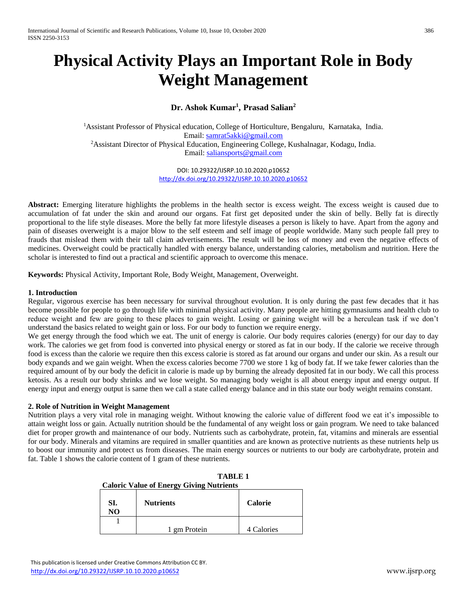# **Physical Activity Plays an Important Role in Body Weight Management**

# **Dr. Ashok Kumar<sup>1</sup> , Prasad Salian<sup>2</sup>**

<sup>1</sup>Assistant Professor of Physical education, College of Horticulture, Bengaluru, Karnataka, India. Email: [samrat5akki@gmail.com](mailto:samrat5akki@gmail.com) <sup>2</sup>Assistant Director of Physical Education, Engineering College, Kushalnagar, Kodagu, India. Email: [saliansports@gmail.com](mailto:saliansports@gmail.com)

> DOI: 10.29322/IJSRP.10.10.2020.p10652 <http://dx.doi.org/10.29322/IJSRP.10.10.2020.p10652>

**Abstract:** Emerging literature highlights the problems in the health sector is excess weight. The excess weight is caused due to accumulation of fat under the skin and around our organs. Fat first get deposited under the skin of belly. Belly fat is directly proportional to the life style diseases. More the belly fat more lifestyle diseases a person is likely to have. Apart from the agony and pain of diseases overweight is a major blow to the self esteem and self image of people worldwide. Many such people fall prey to frauds that mislead them with their tall claim advertisements. The result will be loss of money and even the negative effects of medicines. Overweight could be practically handled with energy balance, understanding calories, metabolism and nutrition. Here the scholar is interested to find out a practical and scientific approach to overcome this menace.

**Keywords:** Physical Activity, Important Role, Body Weight, Management, Overweight.

### **1. Introduction**

Regular, vigorous exercise has been necessary for survival throughout evolution. It is only during the past few decades that it has become possible for people to go through life with minimal physical activity. Many people are hitting gymnasiums and health club to reduce weight and few are going to these places to gain weight. Losing or gaining weight will be a herculean task if we don't understand the basics related to weight gain or loss. For our body to function we require energy.

We get energy through the food which we eat. The unit of energy is calorie. Our body requires calories (energy) for our day to day work. The calories we get from food is converted into physical energy or stored as fat in our body. If the calorie we receive through food is excess than the calorie we require then this excess calorie is stored as fat around our organs and under our skin. As a result our body expands and we gain weight. When the excess calories become 7700 we store 1 kg of body fat. If we take fewer calories than the required amount of by our body the deficit in calorie is made up by burning the already deposited fat in our body. We call this process ketosis. As a result our body shrinks and we lose weight. So managing body weight is all about energy input and energy output. If energy input and energy output is same then we call a state called energy balance and in this state our body weight remains constant.

## **2. Role of Nutrition in Weight Management**

Nutrition plays a very vital role in managing weight. Without knowing the calorie value of different food we eat it's impossible to attain weight loss or gain. Actually nutrition should be the fundamental of any weight loss or gain program. We need to take balanced diet for proper growth and maintenance of our body. Nutrients such as carbohydrate, protein, fat, vitamins and minerals are essential for our body. Minerals and vitamins are required in smaller quantities and are known as protective nutrients as these nutrients help us to boost our immunity and protect us from diseases. The main energy sources or nutrients to our body are carbohydrate, protein and fat. Table 1 shows the calorie content of 1 gram of these nutrients.

| <b>Caloric Value of Energy Giving Nutrients</b> |                  |                |
|-------------------------------------------------|------------------|----------------|
| SI.<br>NO                                       | <b>Nutrients</b> | <b>Calorie</b> |
|                                                 |                  |                |
|                                                 | 1 gm Protein     | 4 Calories     |

|  |                                                 | <b>TABLE 1</b> |
|--|-------------------------------------------------|----------------|
|  | <b>Caloric Value of Energy Giving Nutrients</b> |                |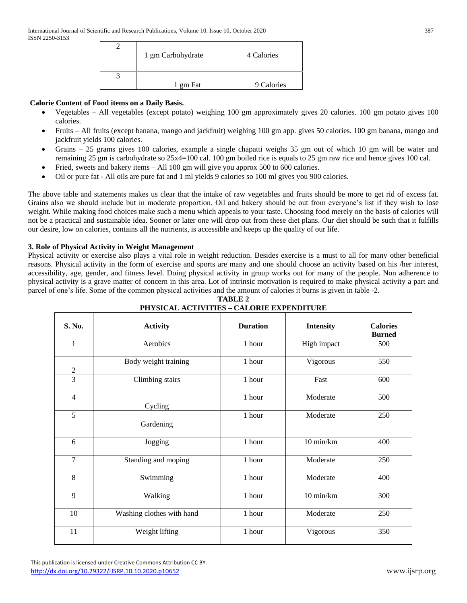| 1 gm Carbohydrate | 4 Calories |
|-------------------|------------|
|                   |            |
| 1 gm Fat          | 9 Calories |

# **Calorie Content of Food items on a Daily Basis.**

- Vegetables All vegetables (except potato) weighing 100 gm approximately gives 20 calories. 100 gm potato gives 100 calories.
- Fruits All fruits (except banana, mango and jackfruit) weighing 100 gm app. gives 50 calories. 100 gm banana, mango and jackfruit yields 100 calories.
- Grains 25 grams gives 100 calories, example a single chapatti weighs 35 gm out of which 10 gm will be water and remaining 25 gm is carbohydrate so 25x4=100 cal. 100 gm boiled rice is equals to 25 gm raw rice and hence gives 100 cal.
- Fried, sweets and bakery items All 100 gm will give you approx 500 to 600 calories.
- Oil or pure fat All oils are pure fat and 1 ml yields 9 calories so 100 ml gives you 900 calories.

The above table and statements makes us clear that the intake of raw vegetables and fruits should be more to get rid of excess fat. Grains also we should include but in moderate proportion. Oil and bakery should be out from everyone's list if they wish to lose weight. While making food choices make such a menu which appeals to your taste. Choosing food merely on the basis of calories will not be a practical and sustainable idea. Sooner or later one will drop out from these diet plans. Our diet should be such that it fulfills our desire, low on calories, contains all the nutrients, is accessible and keeps up the quality of our life.

## **3. Role of Physical Activity in Weight Management**

Physical activity or exercise also plays a vital role in weight reduction. Besides exercise is a must to all for many other beneficial reasons. Physical activity in the form of exercise and sports are many and one should choose an activity based on his /her interest, accessibility, age, gender, and fitness level. Doing physical activity in group works out for many of the people. Non adherence to physical activity is a grave matter of concern in this area. Lot of intrinsic motivation is required to make physical activity a part and parcel of one's life. Some of the common physical activities and the amount of calories it burns is given in table -2.

| S. No.           | <b>Activity</b>           | <b>Duration</b> | <b>Intensity</b> | <b>Calories</b><br><b>Burned</b> |
|------------------|---------------------------|-----------------|------------------|----------------------------------|
| $\mathbf{1}$     | Aerobics                  | 1 hour          | High impact      | 500                              |
| $\boldsymbol{2}$ | Body weight training      | 1 hour          | Vigorous         | 550                              |
| 3                | Climbing stairs           | 1 hour          | Fast             | 600                              |
| $\overline{4}$   | Cycling                   | 1 hour          | Moderate         | 500                              |
| $\overline{5}$   | Gardening                 | 1 hour          | Moderate         | 250                              |
| 6                | Jogging                   | 1 hour          | 10 min/km        | 400                              |
| $\overline{7}$   | Standing and moping       | 1 hour          | Moderate         | 250                              |
| 8                | Swimming                  | 1 hour          | Moderate         | 400                              |
| 9                | Walking                   | 1 hour          | 10 min/km        | 300                              |
| 10               | Washing clothes with hand | 1 hour          | Moderate         | 250                              |
| 11               | Weight lifting            | 1 hour          | Vigorous         | 350                              |

**TABLE 2 PHYSICAL ACTIVITIES – CALORIE EXPENDITURE**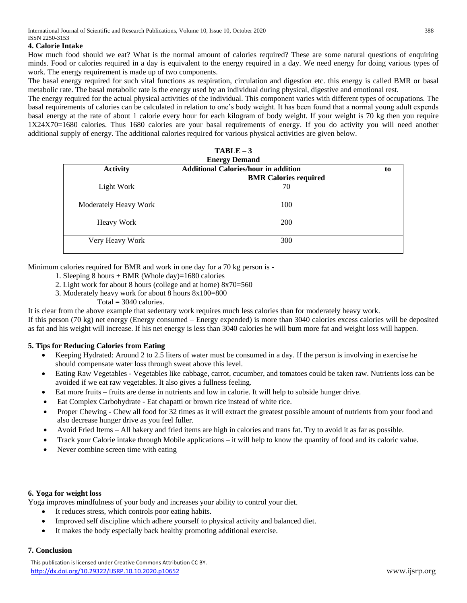#### **4. Calorie Intake**

How much food should we eat? What is the normal amount of calories required? These are some natural questions of enquiring minds. Food or calories required in a day is equivalent to the energy required in a day. We need energy for doing various types of work. The energy requirement is made up of two components.

The basal energy required for such vital functions as respiration, circulation and digestion etc. this energy is called BMR or basal metabolic rate. The basal metabolic rate is the energy used by an individual during physical, digestive and emotional rest.

The energy required for the actual physical activities of the individual. This component varies with different types of occupations. The basal requirements of calories can be calculated in relation to one's body weight. It has been found that a normal young adult expends basal energy at the rate of about 1 calorie every hour for each kilogram of body weight. If your weight is 70 kg then you require 1X24X70=1680 calories. Thus 1680 calories are your basal requirements of energy. If you do activity you will need another additional supply of energy. The additional calories required for various physical activities are given below.

| <b>Energy Demand</b>  |                                             |    |  |
|-----------------------|---------------------------------------------|----|--|
| <b>Activity</b>       | <b>Additional Calories/hour in addition</b> | to |  |
|                       | <b>BMR Calories required</b>                |    |  |
| Light Work            | 70                                          |    |  |
| Moderately Heavy Work | 100                                         |    |  |
| <b>Heavy Work</b>     | 200                                         |    |  |
| Very Heavy Work       | 300                                         |    |  |

**TABLE – 3 Energy Demand**

Minimum calories required for BMR and work in one day for a 70 kg person is -

- 1. Sleeping 8 hours + BMR (Whole day)=1680 calories
- 2. Light work for about 8 hours (college and at home) 8x70=560
- 3. Moderately heavy work for about 8 hours 8x100=800
	- Total  $=$  3040 calories.

It is clear from the above example that sedentary work requires much less calories than for moderately heavy work.

If this person (70 kg) net energy (Energy consumed – Energy expended) is more than 3040 calories excess calories will be deposited as fat and his weight will increase. If his net energy is less than 3040 calories he will burn more fat and weight loss will happen.

#### **5. Tips for Reducing Calories from Eating**

- Keeping Hydrated: Around 2 to 2.5 liters of water must be consumed in a day. If the person is involving in exercise he should compensate water loss through sweat above this level.
- Eating Raw Vegetables Vegetables like cabbage, carrot, cucumber, and tomatoes could be taken raw. Nutrients loss can be avoided if we eat raw vegetables. It also gives a fullness feeling.
- Eat more fruits fruits are dense in nutrients and low in calorie. It will help to subside hunger drive.
- Eat Complex Carbohydrate Eat chapatti or brown rice instead of white rice.
- Proper Chewing Chew all food for 32 times as it will extract the greatest possible amount of nutrients from your food and also decrease hunger drive as you feel fuller.
- Avoid Fried Items All bakery and fried items are high in calories and trans fat. Try to avoid it as far as possible.
- Track your Calorie intake through Mobile applications it will help to know the quantity of food and its caloric value.
- Never combine screen time with eating

#### **6. Yoga for weight loss**

Yoga improves mindfulness of your body and increases your ability to control your diet.

- It reduces stress, which controls poor eating habits.
- Improved self discipline which adhere yourself to physical activity and balanced diet.
- It makes the body especially back healthy promoting additional exercise.

# **7. Conclusion**

 This publication is licensed under Creative Commons Attribution CC BY. <http://dx.doi.org/10.29322/IJSRP.10.10.2020.p10652> www.ijsrp.org